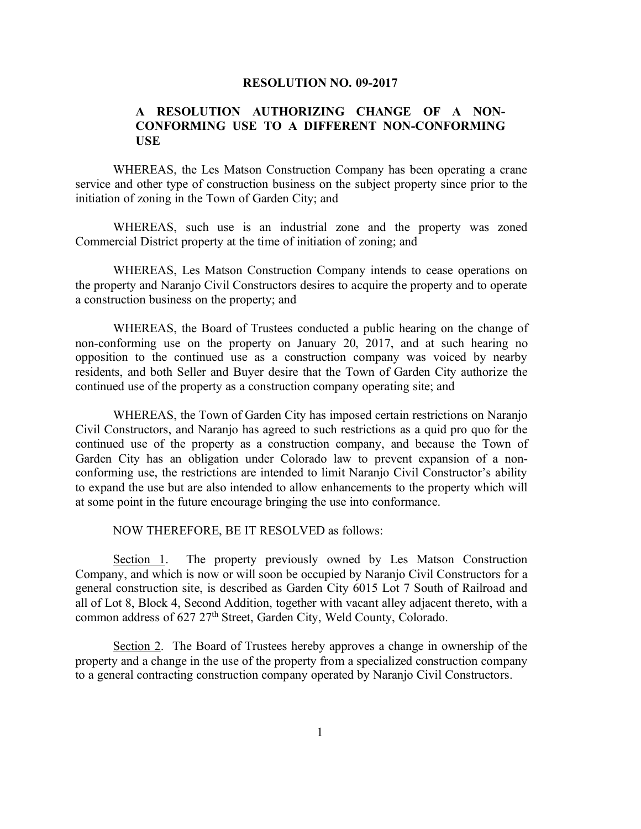## **RESOLUTION NO. 09-2017**

## **A RESOLUTION AUTHORIZING CHANGE OF A NON-CONFORMING USE TO A DIFFERENT NON-CONFORMING USE**

WHEREAS, the Les Matson Construction Company has been operating a crane service and other type of construction business on the subject property since prior to the initiation of zoning in the Town of Garden City; and

WHEREAS, such use is an industrial zone and the property was zoned Commercial District property at the time of initiation of zoning; and

WHEREAS, Les Matson Construction Company intends to cease operations on the property and Naranjo Civil Constructors desires to acquire the property and to operate a construction business on the property; and

WHEREAS, the Board of Trustees conducted a public hearing on the change of non-conforming use on the property on January 20, 2017, and at such hearing no opposition to the continued use as a construction company was voiced by nearby residents, and both Seller and Buyer desire that the Town of Garden City authorize the continued use of the property as a construction company operating site; and

WHEREAS, the Town of Garden City has imposed certain restrictions on Naranjo Civil Constructors, and Naranjo has agreed to such restrictions as a quid pro quo for the continued use of the property as a construction company, and because the Town of Garden City has an obligation under Colorado law to prevent expansion of a nonconforming use, the restrictions are intended to limit Naranjo Civil Constructor's ability to expand the use but are also intended to allow enhancements to the property which will at some point in the future encourage bringing the use into conformance.

NOW THEREFORE, BE IT RESOLVED as follows:

Section 1. The property previously owned by Les Matson Construction Company, and which is now or will soon be occupied by Naranjo Civil Constructors for a general construction site, is described as Garden City 6015 Lot 7 South of Railroad and all of Lot 8, Block 4, Second Addition, together with vacant alley adjacent thereto, with a common address of 627 27<sup>th</sup> Street, Garden City, Weld County, Colorado.

Section 2. The Board of Trustees hereby approves a change in ownership of the property and a change in the use of the property from a specialized construction company to a general contracting construction company operated by Naranjo Civil Constructors.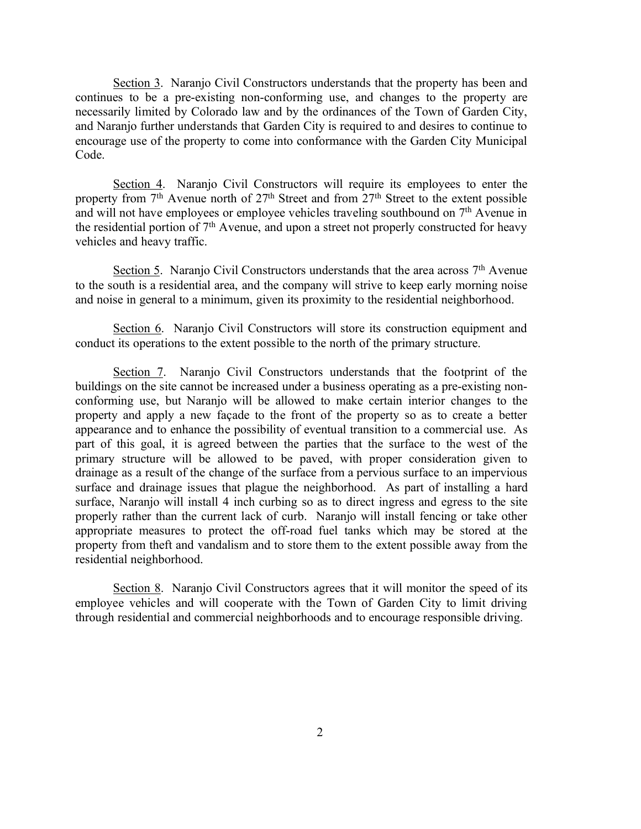Section 3. Naranjo Civil Constructors understands that the property has been and continues to be a pre-existing non-conforming use, and changes to the property are necessarily limited by Colorado law and by the ordinances of the Town of Garden City, and Naranjo further understands that Garden City is required to and desires to continue to encourage use of the property to come into conformance with the Garden City Municipal Code.

Section 4. Naranjo Civil Constructors will require its employees to enter the property from  $7<sup>th</sup>$  Avenue north of  $27<sup>th</sup>$  Street and from  $27<sup>th</sup>$  Street to the extent possible and will not have employees or employee vehicles traveling southbound on 7<sup>th</sup> Avenue in the residential portion of 7th Avenue, and upon a street not properly constructed for heavy vehicles and heavy traffic.

Section 5. Naranjo Civil Constructors understands that the area across 7<sup>th</sup> Avenue to the south is a residential area, and the company will strive to keep early morning noise and noise in general to a minimum, given its proximity to the residential neighborhood.

Section 6. Naranjo Civil Constructors will store its construction equipment and conduct its operations to the extent possible to the north of the primary structure.

Section 7. Naranjo Civil Constructors understands that the footprint of the buildings on the site cannot be increased under a business operating as a pre-existing nonconforming use, but Naranjo will be allowed to make certain interior changes to the property and apply a new façade to the front of the property so as to create a better appearance and to enhance the possibility of eventual transition to a commercial use. As part of this goal, it is agreed between the parties that the surface to the west of the primary structure will be allowed to be paved, with proper consideration given to drainage as a result of the change of the surface from a pervious surface to an impervious surface and drainage issues that plague the neighborhood. As part of installing a hard surface, Naranjo will install 4 inch curbing so as to direct ingress and egress to the site properly rather than the current lack of curb. Naranjo will install fencing or take other appropriate measures to protect the off-road fuel tanks which may be stored at the property from theft and vandalism and to store them to the extent possible away from the residential neighborhood.

Section 8. Naranjo Civil Constructors agrees that it will monitor the speed of its employee vehicles and will cooperate with the Town of Garden City to limit driving through residential and commercial neighborhoods and to encourage responsible driving.